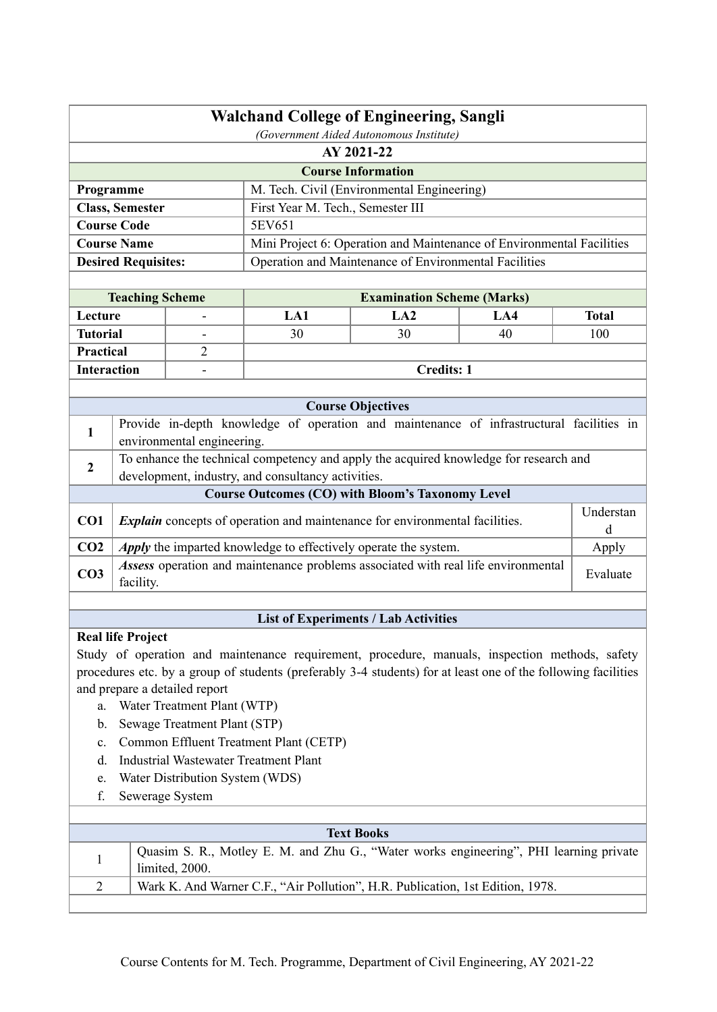| <b>Walchand College of Engineering, Sangli</b><br>(Government Aided Autonomous Institute) |                                                                                |                                 |                                                    |                                                                                                               |     |                |  |  |  |
|-------------------------------------------------------------------------------------------|--------------------------------------------------------------------------------|---------------------------------|----------------------------------------------------|---------------------------------------------------------------------------------------------------------------|-----|----------------|--|--|--|
|                                                                                           | AY 2021-22                                                                     |                                 |                                                    |                                                                                                               |     |                |  |  |  |
|                                                                                           |                                                                                |                                 |                                                    | <b>Course Information</b>                                                                                     |     |                |  |  |  |
| Programme                                                                                 |                                                                                |                                 |                                                    | M. Tech. Civil (Environmental Engineering)                                                                    |     |                |  |  |  |
|                                                                                           | <b>Class, Semester</b>                                                         |                                 | First Year M. Tech., Semester III                  |                                                                                                               |     |                |  |  |  |
|                                                                                           | <b>Course Code</b>                                                             |                                 | 5EV651                                             |                                                                                                               |     |                |  |  |  |
|                                                                                           | <b>Course Name</b>                                                             |                                 |                                                    | Mini Project 6: Operation and Maintenance of Environmental Facilities                                         |     |                |  |  |  |
|                                                                                           | <b>Desired Requisites:</b>                                                     |                                 |                                                    | Operation and Maintenance of Environmental Facilities                                                         |     |                |  |  |  |
|                                                                                           |                                                                                |                                 |                                                    |                                                                                                               |     |                |  |  |  |
|                                                                                           | <b>Teaching Scheme</b>                                                         |                                 |                                                    | <b>Examination Scheme (Marks)</b>                                                                             |     |                |  |  |  |
| Lecture                                                                                   |                                                                                |                                 | LA1                                                | LA2                                                                                                           | LA4 | <b>Total</b>   |  |  |  |
| <b>Tutorial</b>                                                                           |                                                                                |                                 | 30                                                 | 30                                                                                                            | 40  | 100            |  |  |  |
| Practical                                                                                 |                                                                                | $\overline{2}$                  |                                                    |                                                                                                               |     |                |  |  |  |
| <b>Interaction</b>                                                                        |                                                                                |                                 |                                                    | <b>Credits: 1</b>                                                                                             |     |                |  |  |  |
|                                                                                           |                                                                                |                                 |                                                    |                                                                                                               |     |                |  |  |  |
|                                                                                           |                                                                                |                                 |                                                    | <b>Course Objectives</b>                                                                                      |     |                |  |  |  |
| 1                                                                                         |                                                                                | environmental engineering.      |                                                    | Provide in-depth knowledge of operation and maintenance of infrastructural facilities in                      |     |                |  |  |  |
|                                                                                           |                                                                                |                                 |                                                    | To enhance the technical competency and apply the acquired knowledge for research and                         |     |                |  |  |  |
| $\boldsymbol{2}$                                                                          |                                                                                |                                 | development, industry, and consultancy activities. |                                                                                                               |     |                |  |  |  |
|                                                                                           |                                                                                |                                 |                                                    | <b>Course Outcomes (CO) with Bloom's Taxonomy Level</b>                                                       |     |                |  |  |  |
| CO1                                                                                       |                                                                                |                                 |                                                    | <i>Explain</i> concepts of operation and maintenance for environmental facilities.                            |     | Understan<br>d |  |  |  |
| CO <sub>2</sub>                                                                           |                                                                                |                                 |                                                    | Apply the imparted knowledge to effectively operate the system.                                               |     | Apply          |  |  |  |
| CO <sub>3</sub>                                                                           | facility.                                                                      |                                 |                                                    | Assess operation and maintenance problems associated with real life environmental                             |     | Evaluate       |  |  |  |
|                                                                                           |                                                                                |                                 |                                                    |                                                                                                               |     |                |  |  |  |
|                                                                                           |                                                                                |                                 |                                                    | <b>List of Experiments / Lab Activities</b>                                                                   |     |                |  |  |  |
|                                                                                           | <b>Real life Project</b>                                                       |                                 |                                                    |                                                                                                               |     |                |  |  |  |
|                                                                                           |                                                                                |                                 |                                                    | Study of operation and maintenance requirement, procedure, manuals, inspection methods, safety                |     |                |  |  |  |
|                                                                                           |                                                                                |                                 |                                                    | procedures etc. by a group of students (preferably 3-4 students) for at least one of the following facilities |     |                |  |  |  |
|                                                                                           |                                                                                | and prepare a detailed report   |                                                    |                                                                                                               |     |                |  |  |  |
| a.                                                                                        |                                                                                | Water Treatment Plant (WTP)     |                                                    |                                                                                                               |     |                |  |  |  |
| $\mathbf b$ .                                                                             |                                                                                | Sewage Treatment Plant (STP)    |                                                    |                                                                                                               |     |                |  |  |  |
| $\mathbf{c}$ .                                                                            |                                                                                |                                 | Common Effluent Treatment Plant (CETP)             |                                                                                                               |     |                |  |  |  |
| d.                                                                                        |                                                                                |                                 | <b>Industrial Wastewater Treatment Plant</b>       |                                                                                                               |     |                |  |  |  |
| e.<br>f.                                                                                  |                                                                                | Water Distribution System (WDS) |                                                    |                                                                                                               |     |                |  |  |  |
|                                                                                           |                                                                                | Sewerage System                 |                                                    |                                                                                                               |     |                |  |  |  |
|                                                                                           |                                                                                |                                 |                                                    | <b>Text Books</b>                                                                                             |     |                |  |  |  |
| $\mathbf{1}$                                                                              |                                                                                | limited, 2000.                  |                                                    | Quasim S. R., Motley E. M. and Zhu G., "Water works engineering", PHI learning private                        |     |                |  |  |  |
| $\overline{2}$                                                                            |                                                                                |                                 |                                                    |                                                                                                               |     |                |  |  |  |
|                                                                                           | Wark K. And Warner C.F., "Air Pollution", H.R. Publication, 1st Edition, 1978. |                                 |                                                    |                                                                                                               |     |                |  |  |  |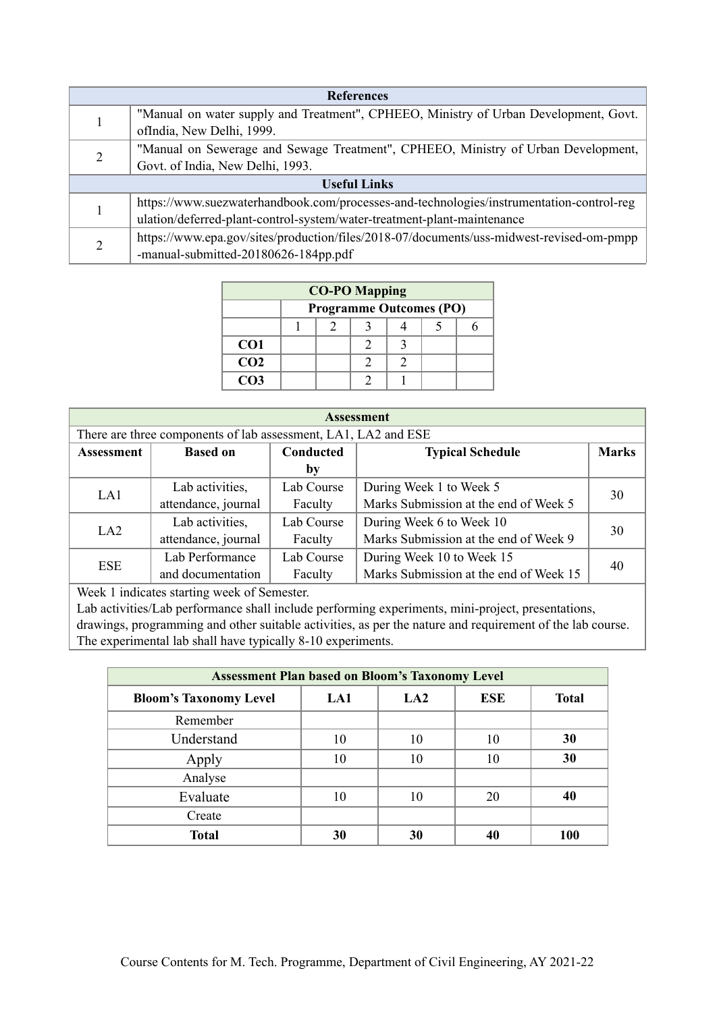| <b>References</b> |                                                                                          |  |  |  |  |
|-------------------|------------------------------------------------------------------------------------------|--|--|--|--|
|                   | "Manual on water supply and Treatment", CPHEEO, Ministry of Urban Development, Govt.     |  |  |  |  |
|                   | ofIndia, New Delhi, 1999.                                                                |  |  |  |  |
|                   | "Manual on Sewerage and Sewage Treatment", CPHEEO, Ministry of Urban Development,        |  |  |  |  |
|                   | Govt. of India, New Delhi, 1993.                                                         |  |  |  |  |
|                   | <b>Useful Links</b>                                                                      |  |  |  |  |
|                   | https://www.suezwaterhandbook.com/processes-and-technologies/instrumentation-control-reg |  |  |  |  |
|                   | ulation/deferred-plant-control-system/water-treatment-plant-maintenance                  |  |  |  |  |
|                   | https://www.epa.gov/sites/production/files/2018-07/documents/uss-midwest-revised-om-pmpp |  |  |  |  |
|                   | -manual-submitted-20180626-184pp.pdf                                                     |  |  |  |  |

| <b>CO-PO Mapping</b> |                                |  |  |  |  |  |  |  |
|----------------------|--------------------------------|--|--|--|--|--|--|--|
|                      | <b>Programme Outcomes (PO)</b> |  |  |  |  |  |  |  |
|                      |                                |  |  |  |  |  |  |  |
| CO <sub>1</sub>      |                                |  |  |  |  |  |  |  |
| CO <sub>2</sub>      |                                |  |  |  |  |  |  |  |
| CO <sub>3</sub>      |                                |  |  |  |  |  |  |  |

| <b>Assessment</b>                                              |                                                                         |            |                                        |    |  |  |  |  |
|----------------------------------------------------------------|-------------------------------------------------------------------------|------------|----------------------------------------|----|--|--|--|--|
| There are three components of lab assessment, LA1, LA2 and ESE |                                                                         |            |                                        |    |  |  |  |  |
| <b>Assessment</b>                                              | Conducted<br><b>Based on</b><br><b>Typical Schedule</b><br><b>Marks</b> |            |                                        |    |  |  |  |  |
|                                                                |                                                                         | by         |                                        |    |  |  |  |  |
| LA1                                                            | Lab activities,                                                         | Lab Course | During Week 1 to Week 5                | 30 |  |  |  |  |
|                                                                | attendance, journal                                                     | Faculty    | Marks Submission at the end of Week 5  |    |  |  |  |  |
| LA2                                                            | Lab activities,                                                         | Lab Course | During Week 6 to Week 10               |    |  |  |  |  |
|                                                                | attendance, journal                                                     | Faculty    | Marks Submission at the end of Week 9  | 30 |  |  |  |  |
| <b>ESE</b>                                                     | Lab Performance                                                         | Lab Course | During Week 10 to Week 15              | 40 |  |  |  |  |
|                                                                | and documentation                                                       | Faculty    | Marks Submission at the end of Week 15 |    |  |  |  |  |

Week 1 indicates starting week of Semester.

Lab activities/Lab performance shall include performing experiments, mini-project, presentations, drawings, programming and other suitable activities, as per the nature and requirement of the lab course. The experimental lab shall have typically 8-10 experiments.

| <b>Assessment Plan based on Bloom's Taxonomy Level</b> |     |                 |            |              |  |  |  |
|--------------------------------------------------------|-----|-----------------|------------|--------------|--|--|--|
| <b>Bloom's Taxonomy Level</b>                          | LA1 | LA <sub>2</sub> | <b>ESE</b> | <b>Total</b> |  |  |  |
| Remember                                               |     |                 |            |              |  |  |  |
| Understand                                             | 10  | 10              | 10         | 30           |  |  |  |
| Apply                                                  | 10  | 10              | 10         | 30           |  |  |  |
| Analyse                                                |     |                 |            |              |  |  |  |
| Evaluate                                               | 10  | 10              | 20         | 40           |  |  |  |
| Create                                                 |     |                 |            |              |  |  |  |
| <b>Total</b>                                           | 30  | 30              | 40         | 100          |  |  |  |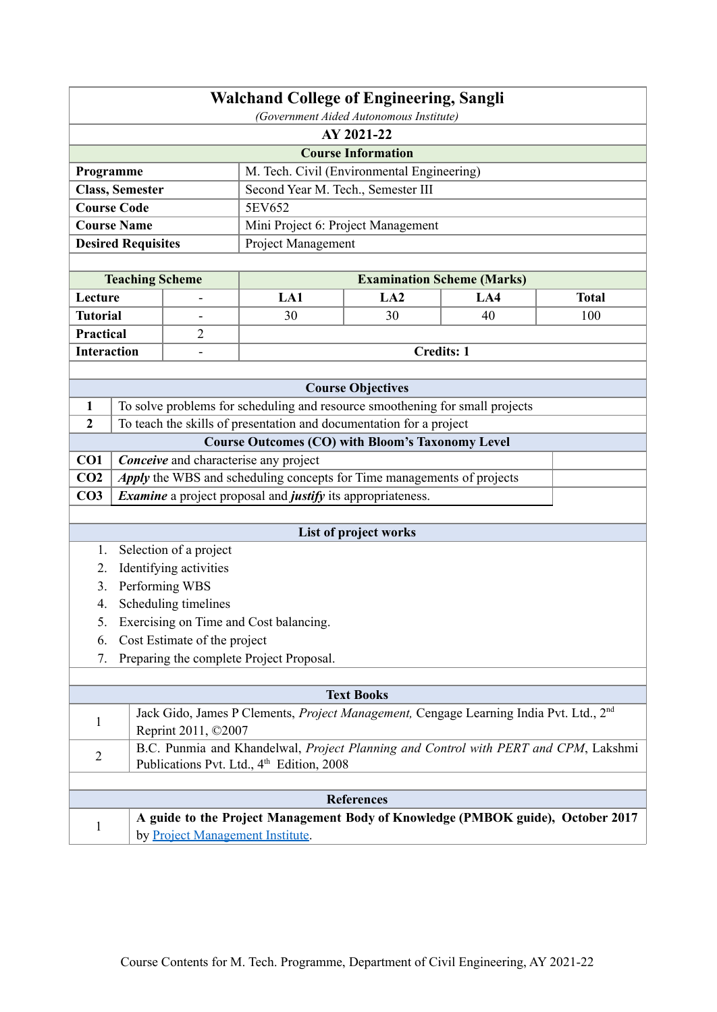| <b>Walchand College of Engineering, Sangli</b><br>(Government Aided Autonomous Institute) |                                                                                     |                                  |                                                                                                                                                     |                           |                                   |              |  |  |
|-------------------------------------------------------------------------------------------|-------------------------------------------------------------------------------------|----------------------------------|-----------------------------------------------------------------------------------------------------------------------------------------------------|---------------------------|-----------------------------------|--------------|--|--|
|                                                                                           | AY 2021-22                                                                          |                                  |                                                                                                                                                     |                           |                                   |              |  |  |
|                                                                                           |                                                                                     |                                  |                                                                                                                                                     | <b>Course Information</b> |                                   |              |  |  |
| Programme                                                                                 |                                                                                     |                                  | M. Tech. Civil (Environmental Engineering)                                                                                                          |                           |                                   |              |  |  |
|                                                                                           | <b>Class, Semester</b>                                                              |                                  | Second Year M. Tech., Semester III                                                                                                                  |                           |                                   |              |  |  |
|                                                                                           | <b>Course Code</b>                                                                  |                                  | 5EV652                                                                                                                                              |                           |                                   |              |  |  |
|                                                                                           | <b>Course Name</b>                                                                  |                                  | Mini Project 6: Project Management                                                                                                                  |                           |                                   |              |  |  |
|                                                                                           | <b>Desired Requisites</b>                                                           |                                  | Project Management                                                                                                                                  |                           |                                   |              |  |  |
|                                                                                           |                                                                                     |                                  |                                                                                                                                                     |                           |                                   |              |  |  |
|                                                                                           | <b>Teaching Scheme</b>                                                              |                                  |                                                                                                                                                     |                           | <b>Examination Scheme (Marks)</b> |              |  |  |
| Lecture                                                                                   |                                                                                     |                                  | LA1                                                                                                                                                 | LA2                       | LA4                               | <b>Total</b> |  |  |
| <b>Tutorial</b>                                                                           |                                                                                     | $\qquad \qquad \blacksquare$     | 30                                                                                                                                                  | 30                        | 40                                | 100          |  |  |
| <b>Practical</b>                                                                          |                                                                                     | $\overline{2}$                   |                                                                                                                                                     |                           |                                   |              |  |  |
| <b>Interaction</b>                                                                        |                                                                                     | $\blacksquare$                   |                                                                                                                                                     |                           | <b>Credits: 1</b>                 |              |  |  |
|                                                                                           |                                                                                     |                                  |                                                                                                                                                     |                           |                                   |              |  |  |
| $\mathbf{1}$                                                                              |                                                                                     |                                  |                                                                                                                                                     | <b>Course Objectives</b>  |                                   |              |  |  |
| $\overline{2}$                                                                            |                                                                                     |                                  | To solve problems for scheduling and resource smoothening for small projects<br>To teach the skills of presentation and documentation for a project |                           |                                   |              |  |  |
|                                                                                           |                                                                                     |                                  | <b>Course Outcomes (CO) with Bloom's Taxonomy Level</b>                                                                                             |                           |                                   |              |  |  |
| CO1                                                                                       |                                                                                     |                                  | <b>Conceive</b> and characterise any project                                                                                                        |                           |                                   |              |  |  |
| CO <sub>2</sub>                                                                           |                                                                                     |                                  | Apply the WBS and scheduling concepts for Time managements of projects                                                                              |                           |                                   |              |  |  |
| CO <sub>3</sub>                                                                           |                                                                                     |                                  | <i>Examine</i> a project proposal and <i>justify</i> its appropriateness.                                                                           |                           |                                   |              |  |  |
|                                                                                           |                                                                                     |                                  |                                                                                                                                                     |                           |                                   |              |  |  |
|                                                                                           |                                                                                     |                                  |                                                                                                                                                     | List of project works     |                                   |              |  |  |
| 1.                                                                                        |                                                                                     | Selection of a project           |                                                                                                                                                     |                           |                                   |              |  |  |
| 2.                                                                                        |                                                                                     | Identifying activities           |                                                                                                                                                     |                           |                                   |              |  |  |
| 3.                                                                                        |                                                                                     | Performing WBS                   |                                                                                                                                                     |                           |                                   |              |  |  |
| 4.                                                                                        |                                                                                     | Scheduling timelines             |                                                                                                                                                     |                           |                                   |              |  |  |
| 5.                                                                                        |                                                                                     |                                  | Exercising on Time and Cost balancing.                                                                                                              |                           |                                   |              |  |  |
| 6.                                                                                        |                                                                                     | Cost Estimate of the project     |                                                                                                                                                     |                           |                                   |              |  |  |
| 7.                                                                                        |                                                                                     |                                  | Preparing the complete Project Proposal.                                                                                                            |                           |                                   |              |  |  |
|                                                                                           |                                                                                     |                                  |                                                                                                                                                     | <b>Text Books</b>         |                                   |              |  |  |
|                                                                                           |                                                                                     |                                  | Jack Gido, James P Clements, Project Management, Cengage Learning India Pvt. Ltd., 2 <sup>nd</sup>                                                  |                           |                                   |              |  |  |
|                                                                                           | 1<br>Reprint 2011, ©2007                                                            |                                  |                                                                                                                                                     |                           |                                   |              |  |  |
| $\overline{2}$                                                                            | B.C. Punmia and Khandelwal, Project Planning and Control with PERT and CPM, Lakshmi |                                  |                                                                                                                                                     |                           |                                   |              |  |  |
|                                                                                           | Publications Pvt. Ltd., 4 <sup>th</sup> Edition, 2008                               |                                  |                                                                                                                                                     |                           |                                   |              |  |  |
|                                                                                           |                                                                                     |                                  |                                                                                                                                                     |                           |                                   |              |  |  |
|                                                                                           |                                                                                     |                                  |                                                                                                                                                     | <b>References</b>         |                                   |              |  |  |
| $\mathbf{1}$                                                                              |                                                                                     | by Project Management Institute. | A guide to the Project Management Body of Knowledge (PMBOK guide), October 2017                                                                     |                           |                                   |              |  |  |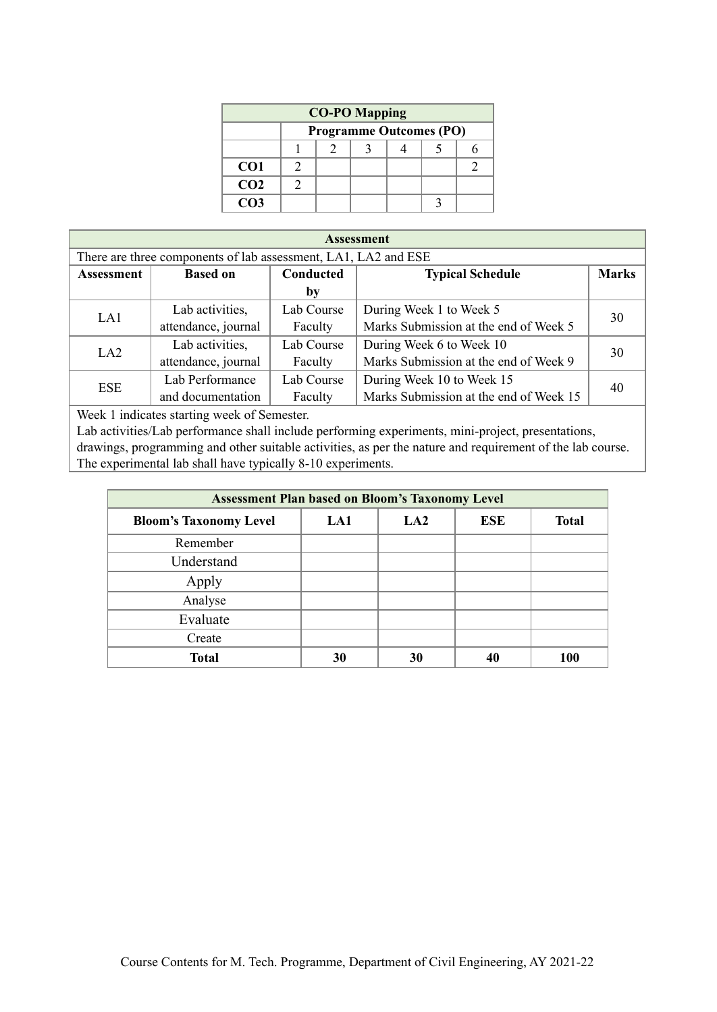| <b>CO-PO Mapping</b> |  |                                |  |  |  |  |
|----------------------|--|--------------------------------|--|--|--|--|
|                      |  | <b>Programme Outcomes (PO)</b> |  |  |  |  |
|                      |  |                                |  |  |  |  |
| CO <sub>1</sub>      |  |                                |  |  |  |  |
| CO <sub>2</sub>      |  |                                |  |  |  |  |
| CO <sub>3</sub>      |  |                                |  |  |  |  |

| <b>Assessment</b>                                              |                                                                                |                                                  |                                        |    |  |  |  |  |
|----------------------------------------------------------------|--------------------------------------------------------------------------------|--------------------------------------------------|----------------------------------------|----|--|--|--|--|
| There are three components of lab assessment, LA1, LA2 and ESE |                                                                                |                                                  |                                        |    |  |  |  |  |
| <b>Assessment</b>                                              | <b>Conducted</b><br><b>Marks</b><br><b>Typical Schedule</b><br><b>Based on</b> |                                                  |                                        |    |  |  |  |  |
|                                                                |                                                                                | by                                               |                                        |    |  |  |  |  |
| LA1                                                            | Lab Course<br>Lab activities,                                                  |                                                  | During Week 1 to Week 5                | 30 |  |  |  |  |
|                                                                | attendance, journal                                                            | Marks Submission at the end of Week 5<br>Faculty |                                        |    |  |  |  |  |
| LA2                                                            | Lab activities,                                                                | Lab Course                                       | During Week 6 to Week 10               | 30 |  |  |  |  |
|                                                                | attendance, journal                                                            | Faculty                                          | Marks Submission at the end of Week 9  |    |  |  |  |  |
| <b>ESE</b>                                                     | Lab Performance<br>Lab Course                                                  |                                                  | During Week 10 to Week 15              | 40 |  |  |  |  |
|                                                                | and documentation                                                              | Faculty                                          | Marks Submission at the end of Week 15 |    |  |  |  |  |

Week 1 indicates starting week of Semester.

Lab activities/Lab performance shall include performing experiments, mini-project, presentations, drawings, programming and other suitable activities, as per the nature and requirement of the lab course. The experimental lab shall have typically 8-10 experiments.

| <b>Assessment Plan based on Bloom's Taxonomy Level</b> |     |                 |     |              |  |  |  |
|--------------------------------------------------------|-----|-----------------|-----|--------------|--|--|--|
| <b>Bloom's Taxonomy Level</b>                          | LA1 | LA <sub>2</sub> | ESE | <b>Total</b> |  |  |  |
| Remember                                               |     |                 |     |              |  |  |  |
| Understand                                             |     |                 |     |              |  |  |  |
| Apply                                                  |     |                 |     |              |  |  |  |
| Analyse                                                |     |                 |     |              |  |  |  |
| Evaluate                                               |     |                 |     |              |  |  |  |
| Create                                                 |     |                 |     |              |  |  |  |
| <b>Total</b>                                           | 30  | 30              | 40  | <b>100</b>   |  |  |  |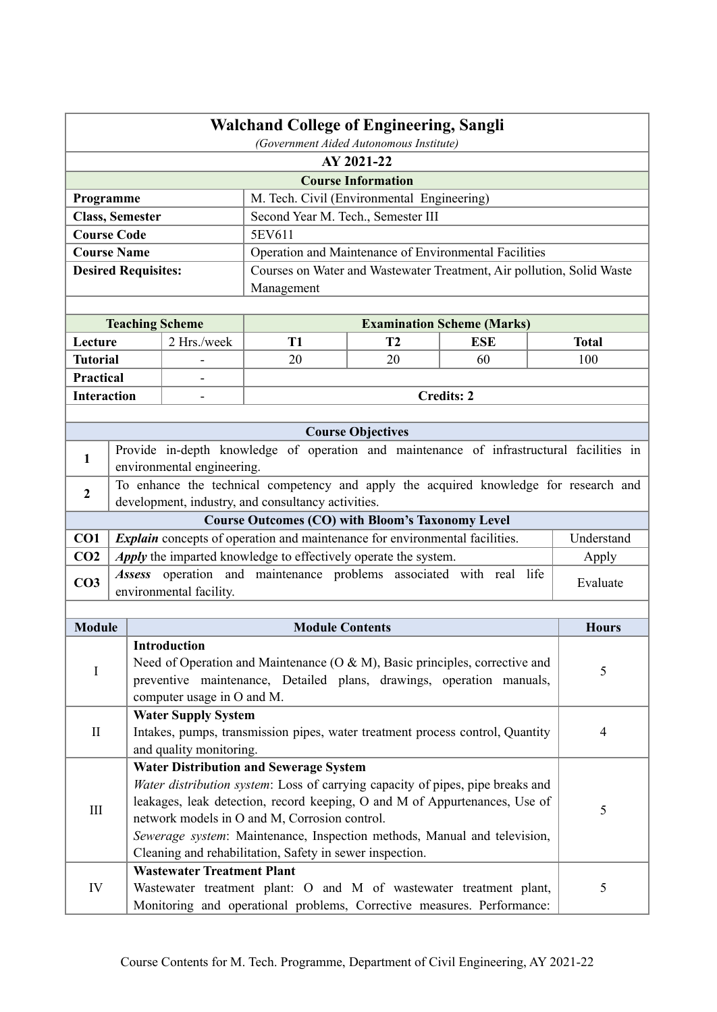|                        | <b>Walchand College of Engineering, Sangli</b><br>(Government Aided Autonomous Institute) |                                                                                                                                                              |                                                                       |                           |                                   |  |                |  |
|------------------------|-------------------------------------------------------------------------------------------|--------------------------------------------------------------------------------------------------------------------------------------------------------------|-----------------------------------------------------------------------|---------------------------|-----------------------------------|--|----------------|--|
|                        | AY 2021-22                                                                                |                                                                                                                                                              |                                                                       |                           |                                   |  |                |  |
|                        |                                                                                           |                                                                                                                                                              |                                                                       | <b>Course Information</b> |                                   |  |                |  |
| Programme              |                                                                                           |                                                                                                                                                              | M. Tech. Civil (Environmental Engineering)                            |                           |                                   |  |                |  |
| <b>Class, Semester</b> |                                                                                           |                                                                                                                                                              | Second Year M. Tech., Semester III                                    |                           |                                   |  |                |  |
| <b>Course Code</b>     |                                                                                           |                                                                                                                                                              | 5EV611                                                                |                           |                                   |  |                |  |
| <b>Course Name</b>     |                                                                                           |                                                                                                                                                              | Operation and Maintenance of Environmental Facilities                 |                           |                                   |  |                |  |
|                        |                                                                                           | <b>Desired Requisites:</b>                                                                                                                                   | Courses on Water and Wastewater Treatment, Air pollution, Solid Waste |                           |                                   |  |                |  |
|                        |                                                                                           |                                                                                                                                                              | Management                                                            |                           |                                   |  |                |  |
|                        |                                                                                           |                                                                                                                                                              |                                                                       |                           |                                   |  |                |  |
|                        |                                                                                           | <b>Teaching Scheme</b>                                                                                                                                       |                                                                       |                           | <b>Examination Scheme (Marks)</b> |  |                |  |
| Lecture                |                                                                                           | 2 Hrs./week                                                                                                                                                  | <b>T1</b>                                                             | T <sub>2</sub>            | <b>ESE</b>                        |  | <b>Total</b>   |  |
| <b>Tutorial</b>        |                                                                                           |                                                                                                                                                              | 20                                                                    | 20                        | 60                                |  | 100            |  |
| Practical              |                                                                                           |                                                                                                                                                              |                                                                       |                           |                                   |  |                |  |
| <b>Interaction</b>     |                                                                                           |                                                                                                                                                              |                                                                       |                           | <b>Credits: 2</b>                 |  |                |  |
|                        |                                                                                           |                                                                                                                                                              |                                                                       |                           |                                   |  |                |  |
|                        |                                                                                           |                                                                                                                                                              |                                                                       | <b>Course Objectives</b>  |                                   |  |                |  |
| 1                      |                                                                                           | Provide in-depth knowledge of operation and maintenance of infrastructural facilities in<br>environmental engineering.                                       |                                                                       |                           |                                   |  |                |  |
| $\overline{2}$         |                                                                                           | To enhance the technical competency and apply the acquired knowledge for research and                                                                        |                                                                       |                           |                                   |  |                |  |
|                        |                                                                                           | development, industry, and consultancy activities.                                                                                                           |                                                                       |                           |                                   |  |                |  |
|                        |                                                                                           |                                                                                                                                                              | <b>Course Outcomes (CO) with Bloom's Taxonomy Level</b>               |                           |                                   |  |                |  |
| CO1                    |                                                                                           | <i>Explain</i> concepts of operation and maintenance for environmental facilities.                                                                           |                                                                       |                           |                                   |  | Understand     |  |
| CO <sub>2</sub>        |                                                                                           | Apply the imparted knowledge to effectively operate the system.                                                                                              |                                                                       |                           |                                   |  | Apply          |  |
| CO <sub>3</sub>        |                                                                                           | Assess operation and maintenance problems associated with real life<br>environmental facility.                                                               |                                                                       |                           |                                   |  | Evaluate       |  |
|                        |                                                                                           |                                                                                                                                                              |                                                                       |                           |                                   |  |                |  |
| <b>Module</b>          |                                                                                           |                                                                                                                                                              | <b>Module Contents</b>                                                |                           |                                   |  | <b>Hours</b>   |  |
|                        |                                                                                           | Introduction                                                                                                                                                 |                                                                       |                           |                                   |  |                |  |
| I                      |                                                                                           | Need of Operation and Maintenance ( $O & M$ ), Basic principles, corrective and                                                                              |                                                                       |                           |                                   |  | 5              |  |
|                        |                                                                                           | preventive maintenance, Detailed plans, drawings, operation manuals,                                                                                         |                                                                       |                           |                                   |  |                |  |
|                        |                                                                                           | computer usage in O and M.                                                                                                                                   |                                                                       |                           |                                   |  |                |  |
|                        |                                                                                           | <b>Water Supply System</b><br>Intakes, pumps, transmission pipes, water treatment process control, Quantity                                                  |                                                                       |                           |                                   |  |                |  |
| $\mathbf{I}$           |                                                                                           | and quality monitoring.                                                                                                                                      |                                                                       |                           |                                   |  | $\overline{4}$ |  |
|                        |                                                                                           | <b>Water Distribution and Sewerage System</b>                                                                                                                |                                                                       |                           |                                   |  |                |  |
|                        |                                                                                           |                                                                                                                                                              |                                                                       |                           |                                   |  |                |  |
|                        |                                                                                           | Water distribution system: Loss of carrying capacity of pipes, pipe breaks and<br>leakages, leak detection, record keeping, O and M of Appurtenances, Use of |                                                                       |                           |                                   |  |                |  |
| III                    |                                                                                           | network models in O and M, Corrosion control.                                                                                                                |                                                                       |                           |                                   |  | 5              |  |
|                        |                                                                                           | Sewerage system: Maintenance, Inspection methods, Manual and television,                                                                                     |                                                                       |                           |                                   |  |                |  |
|                        |                                                                                           | Cleaning and rehabilitation, Safety in sewer inspection.                                                                                                     |                                                                       |                           |                                   |  |                |  |
|                        |                                                                                           | <b>Wastewater Treatment Plant</b>                                                                                                                            |                                                                       |                           |                                   |  |                |  |
| ${\rm IV}$             |                                                                                           |                                                                                                                                                              |                                                                       |                           |                                   |  | 5              |  |
|                        |                                                                                           | Wastewater treatment plant: O and M of wastewater treatment plant,<br>Monitoring and operational problems, Corrective measures. Performance:                 |                                                                       |                           |                                   |  |                |  |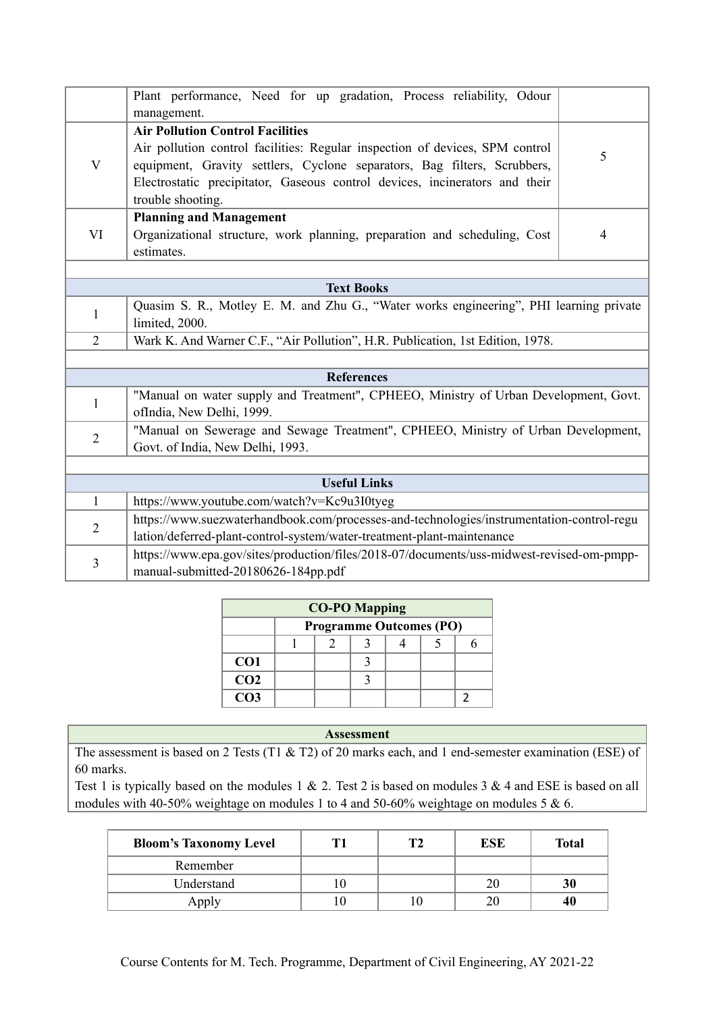|                         | Plant performance, Need for up gradation, Process reliability, Odour<br>management.                                                                                                                                                                                                                     |                |  |  |  |  |
|-------------------------|---------------------------------------------------------------------------------------------------------------------------------------------------------------------------------------------------------------------------------------------------------------------------------------------------------|----------------|--|--|--|--|
| $\mathbf{V}$            | <b>Air Pollution Control Facilities</b><br>Air pollution control facilities: Regular inspection of devices, SPM control<br>equipment, Gravity settlers, Cyclone separators, Bag filters, Scrubbers,<br>Electrostatic precipitator, Gaseous control devices, incinerators and their<br>trouble shooting. | 5              |  |  |  |  |
| VI                      | <b>Planning and Management</b><br>Organizational structure, work planning, preparation and scheduling, Cost<br>estimates.                                                                                                                                                                               | $\overline{4}$ |  |  |  |  |
|                         |                                                                                                                                                                                                                                                                                                         |                |  |  |  |  |
|                         | <b>Text Books</b>                                                                                                                                                                                                                                                                                       |                |  |  |  |  |
| $\mathbf{1}$            | Quasim S. R., Motley E. M. and Zhu G., "Water works engineering", PHI learning private<br>limited, 2000.                                                                                                                                                                                                |                |  |  |  |  |
| $\overline{2}$          | Wark K. And Warner C.F., "Air Pollution", H.R. Publication, 1st Edition, 1978.                                                                                                                                                                                                                          |                |  |  |  |  |
|                         |                                                                                                                                                                                                                                                                                                         |                |  |  |  |  |
|                         | <b>References</b>                                                                                                                                                                                                                                                                                       |                |  |  |  |  |
| 1                       | "Manual on water supply and Treatment", CPHEEO, Ministry of Urban Development, Govt.<br>ofIndia, New Delhi, 1999.                                                                                                                                                                                       |                |  |  |  |  |
| $\overline{2}$          | "Manual on Sewerage and Sewage Treatment", CPHEEO, Ministry of Urban Development,<br>Govt. of India, New Delhi, 1993.                                                                                                                                                                                   |                |  |  |  |  |
|                         |                                                                                                                                                                                                                                                                                                         |                |  |  |  |  |
|                         | <b>Useful Links</b>                                                                                                                                                                                                                                                                                     |                |  |  |  |  |
| $\mathbf{1}$            | https://www.youtube.com/watch?v=Kc9u3I0tyeg                                                                                                                                                                                                                                                             |                |  |  |  |  |
| $\overline{2}$          | https://www.suezwaterhandbook.com/processes-and-technologies/instrumentation-control-regu<br>lation/deferred-plant-control-system/water-treatment-plant-maintenance                                                                                                                                     |                |  |  |  |  |
| $\overline{\mathbf{3}}$ | https://www.epa.gov/sites/production/files/2018-07/documents/uss-midwest-revised-om-pmpp-<br>manual-submitted-20180626-184pp.pdf                                                                                                                                                                        |                |  |  |  |  |

| <b>CO-PO Mapping</b> |  |                                |  |  |  |  |  |  |
|----------------------|--|--------------------------------|--|--|--|--|--|--|
|                      |  | <b>Programme Outcomes (PO)</b> |  |  |  |  |  |  |
|                      |  |                                |  |  |  |  |  |  |
| CO <sub>1</sub>      |  |                                |  |  |  |  |  |  |
| CO <sub>2</sub>      |  |                                |  |  |  |  |  |  |
| CO <sub>3</sub>      |  |                                |  |  |  |  |  |  |

The assessment is based on 2 Tests (T1 & T2) of 20 marks each, and 1 end-semester examination (ESE) of 60 marks.

| <b>Bloom's Taxonomy Level</b> | Т2 | ESE | <b>Total</b> |
|-------------------------------|----|-----|--------------|
| Remember                      |    |     |              |
| Understand                    |    |     | 30           |
| Apply                         |    |     |              |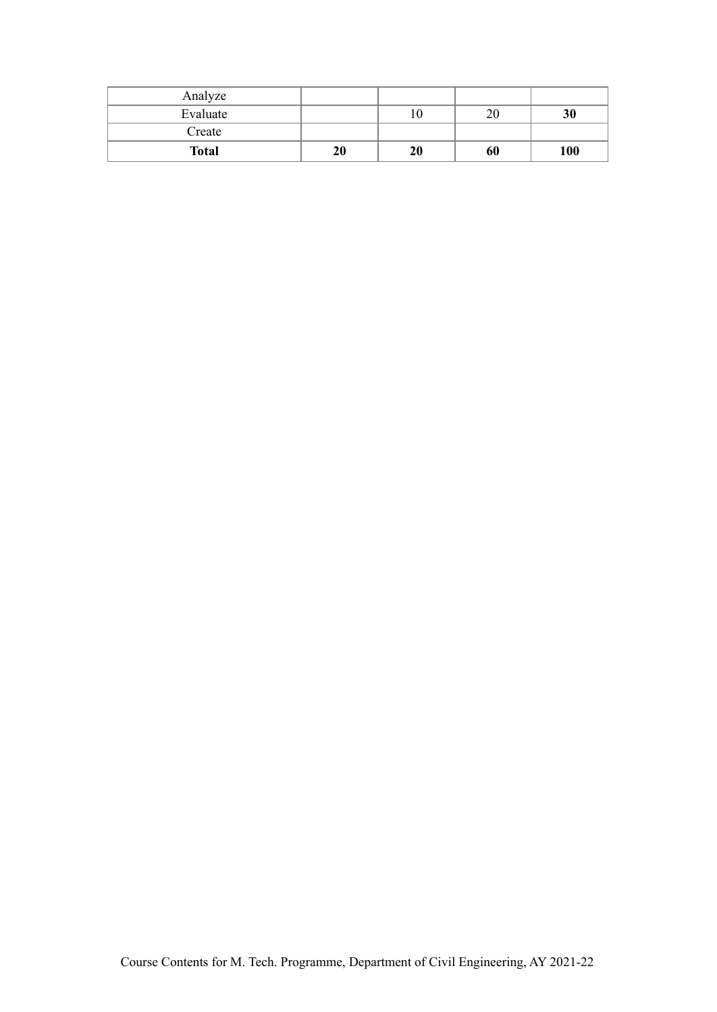| Analyze      |    |    |    |     |
|--------------|----|----|----|-----|
| Evaluate     |    | 10 | 20 | 30  |
| Create       |    |    |    |     |
| <b>Total</b> | 20 | 20 | 60 | 100 |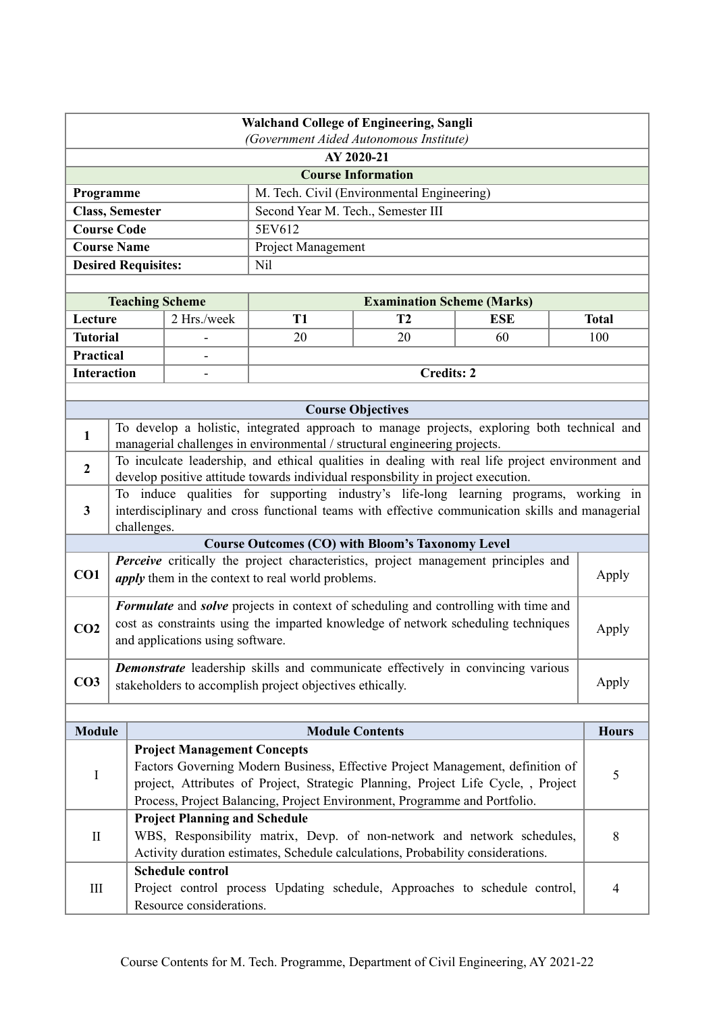| <b>Walchand College of Engineering, Sangli</b>        |                                                                                                                                                                |                                    |                                                                                                                                                                                      |                                            |            |              |  |
|-------------------------------------------------------|----------------------------------------------------------------------------------------------------------------------------------------------------------------|------------------------------------|--------------------------------------------------------------------------------------------------------------------------------------------------------------------------------------|--------------------------------------------|------------|--------------|--|
| (Government Aided Autonomous Institute)<br>AY 2020-21 |                                                                                                                                                                |                                    |                                                                                                                                                                                      |                                            |            |              |  |
|                                                       |                                                                                                                                                                |                                    |                                                                                                                                                                                      | <b>Course Information</b>                  |            |              |  |
| Programme                                             |                                                                                                                                                                |                                    |                                                                                                                                                                                      | M. Tech. Civil (Environmental Engineering) |            |              |  |
|                                                       | <b>Class, Semester</b>                                                                                                                                         |                                    | Second Year M. Tech., Semester III                                                                                                                                                   |                                            |            |              |  |
|                                                       | <b>Course Code</b>                                                                                                                                             |                                    | 5EV612                                                                                                                                                                               |                                            |            |              |  |
|                                                       | <b>Course Name</b>                                                                                                                                             |                                    | Project Management                                                                                                                                                                   |                                            |            |              |  |
|                                                       | <b>Desired Requisites:</b>                                                                                                                                     |                                    | Nil                                                                                                                                                                                  |                                            |            |              |  |
|                                                       |                                                                                                                                                                |                                    |                                                                                                                                                                                      |                                            |            |              |  |
|                                                       | <b>Teaching Scheme</b>                                                                                                                                         |                                    |                                                                                                                                                                                      | <b>Examination Scheme (Marks)</b>          |            |              |  |
| Lecture                                               |                                                                                                                                                                | 2 Hrs./week                        | <b>T1</b>                                                                                                                                                                            | T2                                         | <b>ESE</b> | <b>Total</b> |  |
| <b>Tutorial</b>                                       |                                                                                                                                                                |                                    | 20                                                                                                                                                                                   | 20                                         | 60         | 100          |  |
| Practical                                             |                                                                                                                                                                |                                    |                                                                                                                                                                                      |                                            |            |              |  |
| <b>Interaction</b>                                    |                                                                                                                                                                |                                    |                                                                                                                                                                                      | <b>Credits: 2</b>                          |            |              |  |
|                                                       |                                                                                                                                                                |                                    |                                                                                                                                                                                      |                                            |            |              |  |
|                                                       |                                                                                                                                                                |                                    |                                                                                                                                                                                      | <b>Course Objectives</b>                   |            |              |  |
| $\mathbf{1}$                                          |                                                                                                                                                                |                                    | To develop a holistic, integrated approach to manage projects, exploring both technical and<br>managerial challenges in environmental / structural engineering projects.             |                                            |            |              |  |
| $\overline{2}$                                        |                                                                                                                                                                |                                    | To inculcate leadership, and ethical qualities in dealing with real life project environment and<br>develop positive attitude towards individual responsbility in project execution. |                                            |            |              |  |
| 3                                                     |                                                                                                                                                                |                                    | To induce qualities for supporting industry's life-long learning programs, working in                                                                                                |                                            |            |              |  |
|                                                       | challenges.                                                                                                                                                    |                                    | interdisciplinary and cross functional teams with effective communication skills and managerial                                                                                      |                                            |            |              |  |
|                                                       |                                                                                                                                                                |                                    | <b>Course Outcomes (CO) with Bloom's Taxonomy Level</b>                                                                                                                              |                                            |            |              |  |
|                                                       |                                                                                                                                                                |                                    | Perceive critically the project characteristics, project management principles and                                                                                                   |                                            |            |              |  |
| CO1                                                   |                                                                                                                                                                |                                    | <i>apply</i> them in the context to real world problems.                                                                                                                             |                                            |            | Apply        |  |
|                                                       |                                                                                                                                                                |                                    | Formulate and solve projects in context of scheduling and controlling with time and                                                                                                  |                                            |            |              |  |
| CO <sub>2</sub>                                       |                                                                                                                                                                |                                    | cost as constraints using the imparted knowledge of network scheduling techniques                                                                                                    |                                            |            | Apply        |  |
|                                                       |                                                                                                                                                                | and applications using software.   |                                                                                                                                                                                      |                                            |            |              |  |
|                                                       |                                                                                                                                                                |                                    | <b>Demonstrate</b> leadership skills and communicate effectively in convincing various                                                                                               |                                            |            |              |  |
| CO <sub>3</sub>                                       |                                                                                                                                                                |                                    | stakeholders to accomplish project objectives ethically.                                                                                                                             |                                            |            | Apply        |  |
|                                                       |                                                                                                                                                                |                                    |                                                                                                                                                                                      |                                            |            |              |  |
|                                                       |                                                                                                                                                                |                                    |                                                                                                                                                                                      |                                            |            |              |  |
| <b>Module</b>                                         |                                                                                                                                                                |                                    |                                                                                                                                                                                      | <b>Module Contents</b>                     |            | <b>Hours</b> |  |
|                                                       |                                                                                                                                                                | <b>Project Management Concepts</b> | Factors Governing Modern Business, Effective Project Management, definition of                                                                                                       |                                            |            |              |  |
| $\bf{I}$                                              |                                                                                                                                                                |                                    |                                                                                                                                                                                      |                                            |            | 5            |  |
|                                                       | project, Attributes of Project, Strategic Planning, Project Life Cycle, , Project<br>Process, Project Balancing, Project Environment, Programme and Portfolio. |                                    |                                                                                                                                                                                      |                                            |            |              |  |
|                                                       | <b>Project Planning and Schedule</b>                                                                                                                           |                                    |                                                                                                                                                                                      |                                            |            |              |  |
| $\mathbf{I}$                                          |                                                                                                                                                                |                                    | WBS, Responsibility matrix, Devp. of non-network and network schedules,                                                                                                              |                                            |            | 8            |  |
|                                                       |                                                                                                                                                                |                                    | Activity duration estimates, Schedule calculations, Probability considerations.                                                                                                      |                                            |            |              |  |
|                                                       |                                                                                                                                                                | <b>Schedule control</b>            |                                                                                                                                                                                      |                                            |            |              |  |
| $\rm III$                                             |                                                                                                                                                                |                                    | Project control process Updating schedule, Approaches to schedule control,                                                                                                           |                                            |            | 4            |  |
| Resource considerations.                              |                                                                                                                                                                |                                    |                                                                                                                                                                                      |                                            |            |              |  |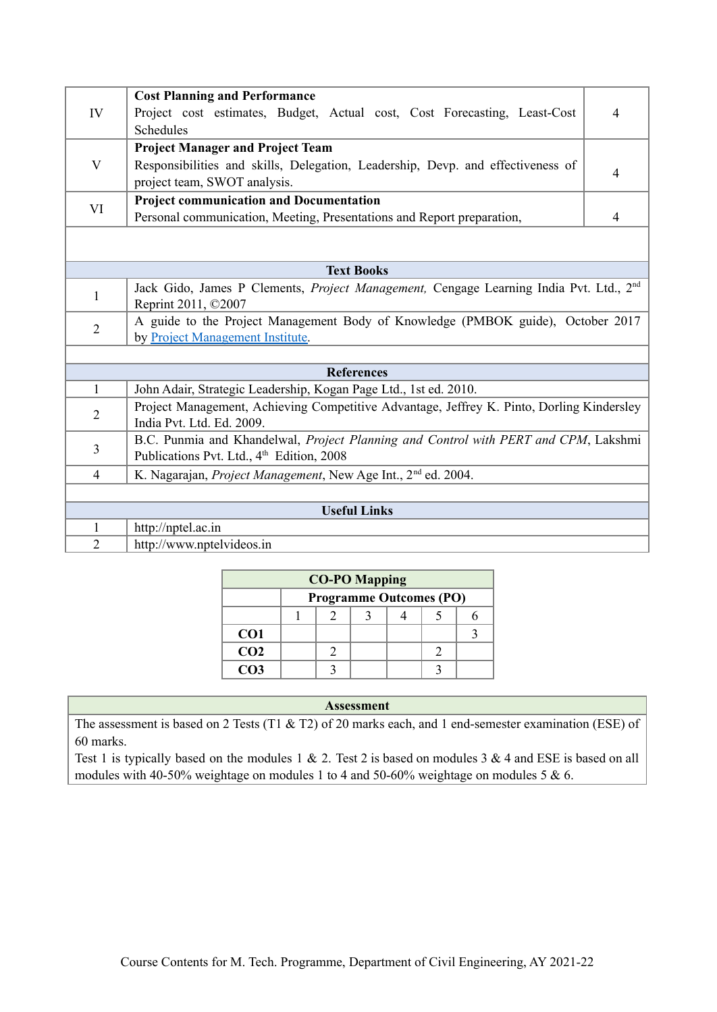| IV             | <b>Cost Planning and Performance</b><br>Project cost estimates, Budget, Actual cost, Cost Forecasting, Least-Cost                            | 4              |  |  |  |
|----------------|----------------------------------------------------------------------------------------------------------------------------------------------|----------------|--|--|--|
|                | Schedules                                                                                                                                    |                |  |  |  |
|                | <b>Project Manager and Project Team</b>                                                                                                      |                |  |  |  |
| $\mathbf{V}$   | Responsibilities and skills, Delegation, Leadership, Devp. and effectiveness of<br>project team, SWOT analysis.                              | $\overline{4}$ |  |  |  |
|                | <b>Project communication and Documentation</b>                                                                                               |                |  |  |  |
| VI             | Personal communication, Meeting, Presentations and Report preparation,                                                                       | 4              |  |  |  |
|                |                                                                                                                                              |                |  |  |  |
|                | <b>Text Books</b>                                                                                                                            |                |  |  |  |
| 1              | Jack Gido, James P Clements, Project Management, Cengage Learning India Pvt. Ltd., 2 <sup>nd</sup><br>Reprint 2011, ©2007                    |                |  |  |  |
| $\overline{2}$ | A guide to the Project Management Body of Knowledge (PMBOK guide), October 2017<br>by Project Management Institute.                          |                |  |  |  |
|                |                                                                                                                                              |                |  |  |  |
|                | <b>References</b>                                                                                                                            |                |  |  |  |
| $\mathbf{1}$   | John Adair, Strategic Leadership, Kogan Page Ltd., 1st ed. 2010.                                                                             |                |  |  |  |
| 2              | Project Management, Achieving Competitive Advantage, Jeffrey K. Pinto, Dorling Kindersley<br>India Pvt. Ltd. Ed. 2009.                       |                |  |  |  |
| 3              | B.C. Punmia and Khandelwal, Project Planning and Control with PERT and CPM, Lakshmi<br>Publications Pvt. Ltd., 4 <sup>th</sup> Edition, 2008 |                |  |  |  |
| $\overline{4}$ | K. Nagarajan, <i>Project Management</i> , New Age Int., 2 <sup>nd</sup> ed. 2004.                                                            |                |  |  |  |
|                |                                                                                                                                              |                |  |  |  |
|                | <b>Useful Links</b>                                                                                                                          |                |  |  |  |
| 1              | http://nptel.ac.in                                                                                                                           |                |  |  |  |
| $\overline{2}$ | http://www.nptelvideos.in                                                                                                                    |                |  |  |  |

| <b>CO-PO Mapping</b> |  |                                |  |  |  |  |  |
|----------------------|--|--------------------------------|--|--|--|--|--|
|                      |  | <b>Programme Outcomes (PO)</b> |  |  |  |  |  |
|                      |  |                                |  |  |  |  |  |
| CO <sub>1</sub>      |  |                                |  |  |  |  |  |
| CO <sub>2</sub>      |  |                                |  |  |  |  |  |
| CO <sub>3</sub>      |  |                                |  |  |  |  |  |

The assessment is based on 2 Tests (T1 & T2) of 20 marks each, and 1 end-semester examination (ESE) of 60 marks.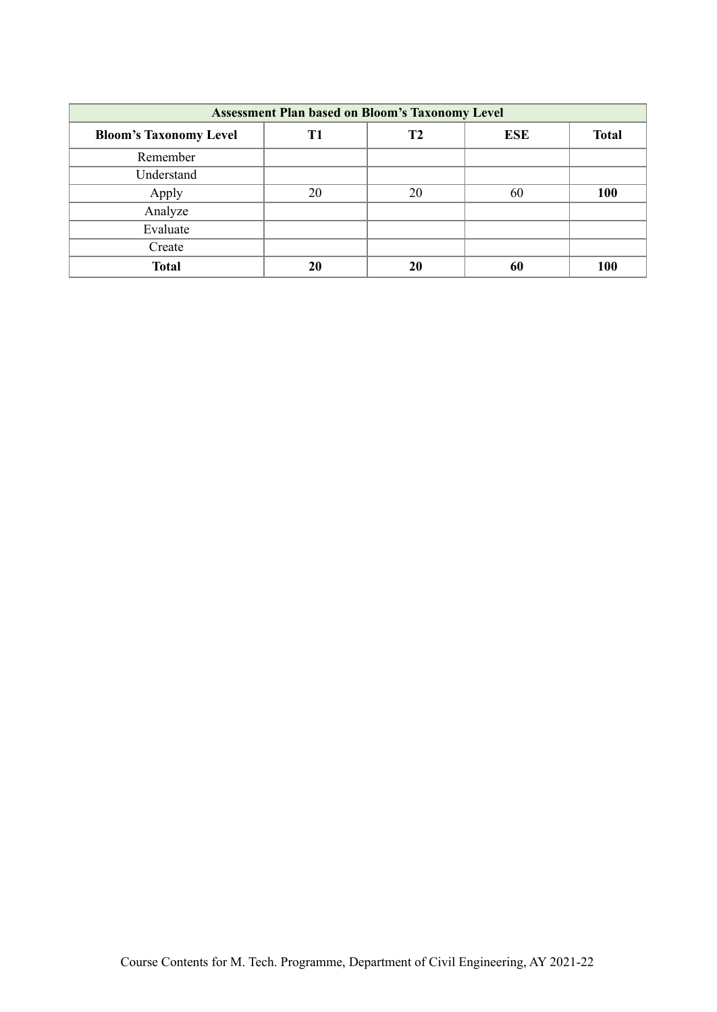| <b>Assessment Plan based on Bloom's Taxonomy Level</b> |    |                |            |              |  |  |  |  |
|--------------------------------------------------------|----|----------------|------------|--------------|--|--|--|--|
| <b>Bloom's Taxonomy Level</b>                          | T1 | T <sub>2</sub> | <b>ESE</b> | <b>Total</b> |  |  |  |  |
| Remember                                               |    |                |            |              |  |  |  |  |
| Understand                                             |    |                |            |              |  |  |  |  |
| Apply                                                  | 20 | 20             | 60         | 100          |  |  |  |  |
| Analyze                                                |    |                |            |              |  |  |  |  |
| Evaluate                                               |    |                |            |              |  |  |  |  |
| Create                                                 |    |                |            |              |  |  |  |  |
| <b>Total</b>                                           | 20 | 20             | 60         | <b>100</b>   |  |  |  |  |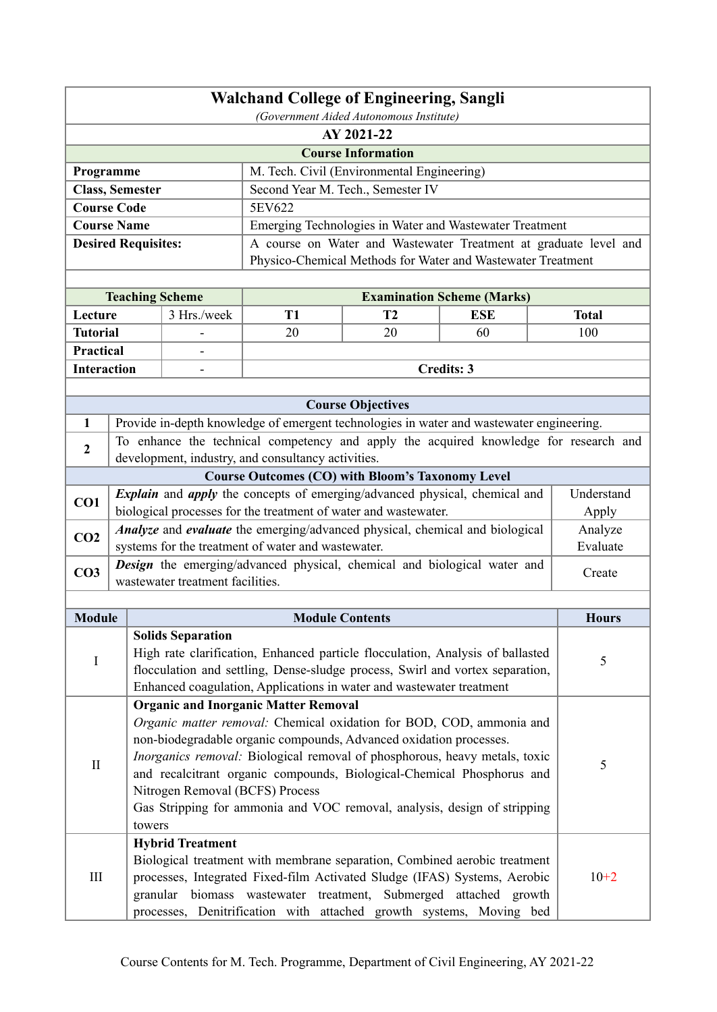| <b>Walchand College of Engineering, Sangli</b>                           |                                                       |                                  |                                                                      |                                            |                                                                                                                                                        |              |  |  |
|--------------------------------------------------------------------------|-------------------------------------------------------|----------------------------------|----------------------------------------------------------------------|--------------------------------------------|--------------------------------------------------------------------------------------------------------------------------------------------------------|--------------|--|--|
|                                                                          | (Government Aided Autonomous Institute)<br>AY 2021-22 |                                  |                                                                      |                                            |                                                                                                                                                        |              |  |  |
| <b>Course Information</b>                                                |                                                       |                                  |                                                                      |                                            |                                                                                                                                                        |              |  |  |
| Programme                                                                |                                                       |                                  |                                                                      | M. Tech. Civil (Environmental Engineering) |                                                                                                                                                        |              |  |  |
|                                                                          | <b>Class, Semester</b>                                |                                  |                                                                      | Second Year M. Tech., Semester IV          |                                                                                                                                                        |              |  |  |
|                                                                          | <b>Course Code</b>                                    |                                  | 5EV622                                                               |                                            |                                                                                                                                                        |              |  |  |
|                                                                          | <b>Course Name</b>                                    |                                  |                                                                      |                                            | Emerging Technologies in Water and Wastewater Treatment                                                                                                |              |  |  |
|                                                                          | <b>Desired Requisites:</b>                            |                                  |                                                                      |                                            | A course on Water and Wastewater Treatment at graduate level and                                                                                       |              |  |  |
|                                                                          |                                                       |                                  |                                                                      |                                            | Physico-Chemical Methods for Water and Wastewater Treatment                                                                                            |              |  |  |
|                                                                          |                                                       |                                  |                                                                      |                                            |                                                                                                                                                        |              |  |  |
|                                                                          |                                                       | <b>Teaching Scheme</b>           |                                                                      |                                            | <b>Examination Scheme (Marks)</b>                                                                                                                      |              |  |  |
| Lecture                                                                  |                                                       | 3 Hrs./week                      | T <sub>1</sub>                                                       | T2                                         | <b>ESE</b>                                                                                                                                             | <b>Total</b> |  |  |
| <b>Tutorial</b>                                                          |                                                       |                                  | 20                                                                   | 20                                         | 60                                                                                                                                                     | 100          |  |  |
| <b>Practical</b>                                                         |                                                       |                                  |                                                                      |                                            |                                                                                                                                                        |              |  |  |
| <b>Interaction</b>                                                       |                                                       |                                  |                                                                      |                                            | <b>Credits: 3</b>                                                                                                                                      |              |  |  |
|                                                                          |                                                       |                                  |                                                                      |                                            |                                                                                                                                                        |              |  |  |
|                                                                          |                                                       |                                  |                                                                      | <b>Course Objectives</b>                   |                                                                                                                                                        |              |  |  |
| $\mathbf{1}$                                                             |                                                       |                                  |                                                                      |                                            | Provide in-depth knowledge of emergent technologies in water and wastewater engineering.                                                               |              |  |  |
| $\boldsymbol{2}$                                                         |                                                       |                                  | development, industry, and consultancy activities.                   |                                            | To enhance the technical competency and apply the acquired knowledge for research and                                                                  |              |  |  |
|                                                                          |                                                       |                                  | <b>Course Outcomes (CO) with Bloom's Taxonomy Level</b>              |                                            |                                                                                                                                                        |              |  |  |
| CO1                                                                      |                                                       |                                  |                                                                      |                                            | <i>Explain</i> and <i>apply</i> the concepts of emerging/advanced physical, chemical and                                                               | Understand   |  |  |
|                                                                          |                                                       |                                  | biological processes for the treatment of water and wastewater.      |                                            |                                                                                                                                                        | Apply        |  |  |
| CO <sub>2</sub>                                                          |                                                       |                                  |                                                                      |                                            | Analyze and evaluate the emerging/advanced physical, chemical and biological                                                                           | Analyze      |  |  |
|                                                                          |                                                       |                                  | systems for the treatment of water and wastewater.                   |                                            |                                                                                                                                                        | Evaluate     |  |  |
| CO <sub>3</sub>                                                          |                                                       |                                  |                                                                      |                                            | <b>Design</b> the emerging/advanced physical, chemical and biological water and                                                                        | Create       |  |  |
|                                                                          |                                                       | wastewater treatment facilities. |                                                                      |                                            |                                                                                                                                                        |              |  |  |
| <b>Module</b>                                                            |                                                       |                                  | <b>Module Contents</b>                                               |                                            |                                                                                                                                                        | <b>Hours</b> |  |  |
|                                                                          |                                                       | <b>Solids Separation</b>         |                                                                      |                                            |                                                                                                                                                        |              |  |  |
|                                                                          |                                                       |                                  |                                                                      |                                            | High rate clarification, Enhanced particle flocculation, Analysis of ballasted                                                                         |              |  |  |
| I                                                                        |                                                       |                                  |                                                                      |                                            | flocculation and settling, Dense-sludge process, Swirl and vortex separation,                                                                          | 5            |  |  |
|                                                                          |                                                       |                                  | Enhanced coagulation, Applications in water and wastewater treatment |                                            |                                                                                                                                                        |              |  |  |
|                                                                          |                                                       |                                  | <b>Organic and Inorganic Matter Removal</b>                          |                                            |                                                                                                                                                        |              |  |  |
|                                                                          |                                                       |                                  |                                                                      |                                            | Organic matter removal: Chemical oxidation for BOD, COD, ammonia and                                                                                   |              |  |  |
|                                                                          |                                                       |                                  | non-biodegradable organic compounds, Advanced oxidation processes.   |                                            |                                                                                                                                                        |              |  |  |
| $\mathbf{I}$                                                             |                                                       |                                  |                                                                      |                                            | Inorganics removal: Biological removal of phosphorous, heavy metals, toxic                                                                             | 5            |  |  |
|                                                                          |                                                       |                                  |                                                                      |                                            | and recalcitrant organic compounds, Biological-Chemical Phosphorus and                                                                                 |              |  |  |
|                                                                          |                                                       | Nitrogen Removal (BCFS) Process  |                                                                      |                                            |                                                                                                                                                        |              |  |  |
| Gas Stripping for ammonia and VOC removal, analysis, design of stripping |                                                       |                                  |                                                                      |                                            |                                                                                                                                                        |              |  |  |
|                                                                          |                                                       | towers                           |                                                                      |                                            |                                                                                                                                                        |              |  |  |
|                                                                          |                                                       | <b>Hybrid Treatment</b>          |                                                                      |                                            |                                                                                                                                                        |              |  |  |
| III                                                                      |                                                       |                                  |                                                                      |                                            | Biological treatment with membrane separation, Combined aerobic treatment<br>processes, Integrated Fixed-film Activated Sludge (IFAS) Systems, Aerobic | $10+2$       |  |  |
|                                                                          |                                                       | granular                         |                                                                      |                                            | biomass wastewater treatment, Submerged attached growth                                                                                                |              |  |  |
|                                                                          |                                                       |                                  |                                                                      |                                            | processes, Denitrification with attached growth systems, Moving bed                                                                                    |              |  |  |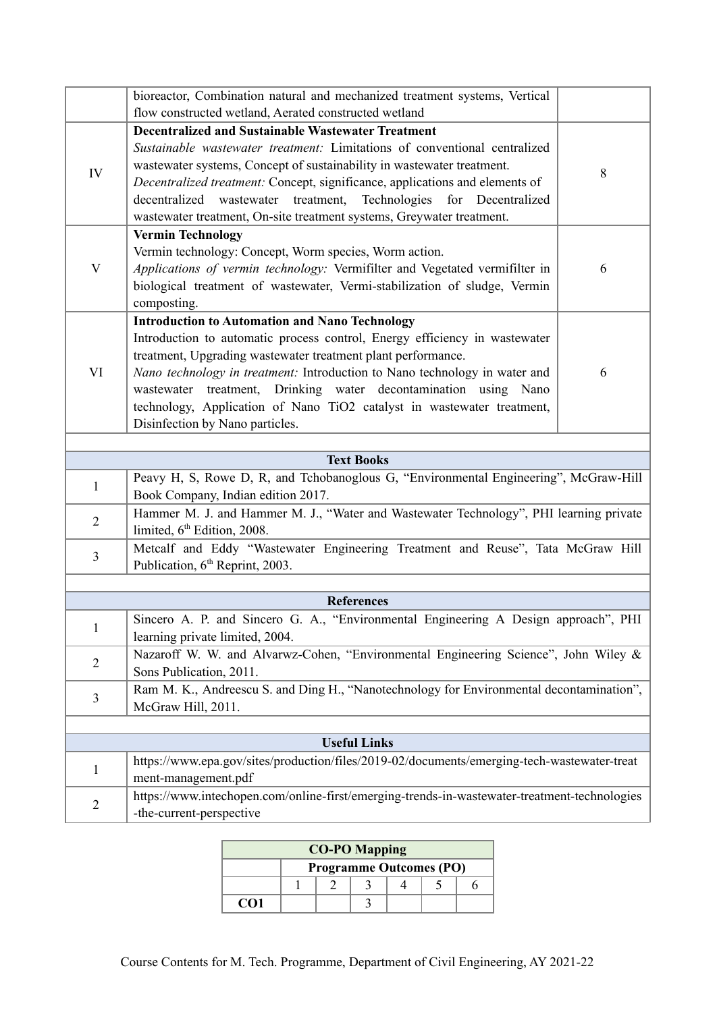|                | bioreactor, Combination natural and mechanized treatment systems, Vertical<br>flow constructed wetland, Aerated constructed wetland                                                                                                                                                                                                                                                                                                                               |   |  |  |  |  |  |  |
|----------------|-------------------------------------------------------------------------------------------------------------------------------------------------------------------------------------------------------------------------------------------------------------------------------------------------------------------------------------------------------------------------------------------------------------------------------------------------------------------|---|--|--|--|--|--|--|
| IV             | <b>Decentralized and Sustainable Wastewater Treatment</b><br>Sustainable wastewater treatment: Limitations of conventional centralized<br>wastewater systems, Concept of sustainability in wastewater treatment.<br>Decentralized treatment: Concept, significance, applications and elements of<br>Technologies<br>decentralized wastewater treatment,<br>for Decentralized<br>wastewater treatment, On-site treatment systems, Greywater treatment.             | 8 |  |  |  |  |  |  |
| V              | <b>Vermin Technology</b><br>Vermin technology: Concept, Worm species, Worm action.<br>Applications of vermin technology: Vermifilter and Vegetated vermifilter in<br>biological treatment of wastewater, Vermi-stabilization of sludge, Vermin<br>composting.                                                                                                                                                                                                     | 6 |  |  |  |  |  |  |
| VI             | <b>Introduction to Automation and Nano Technology</b><br>Introduction to automatic process control, Energy efficiency in wastewater<br>treatment, Upgrading wastewater treatment plant performance.<br>Nano technology in treatment: Introduction to Nano technology in water and<br>wastewater treatment, Drinking water decontamination using Nano<br>technology, Application of Nano TiO2 catalyst in wastewater treatment,<br>Disinfection by Nano particles. | 6 |  |  |  |  |  |  |
|                |                                                                                                                                                                                                                                                                                                                                                                                                                                                                   |   |  |  |  |  |  |  |
|                | <b>Text Books</b><br>Peavy H, S, Rowe D, R, and Tchobanoglous G, "Environmental Engineering", McGraw-Hill                                                                                                                                                                                                                                                                                                                                                         |   |  |  |  |  |  |  |
| $\mathbf{1}$   | Book Company, Indian edition 2017.                                                                                                                                                                                                                                                                                                                                                                                                                                |   |  |  |  |  |  |  |
| $\overline{2}$ | Hammer M. J. and Hammer M. J., "Water and Wastewater Technology", PHI learning private<br>limited, 6 <sup>th</sup> Edition, 2008.                                                                                                                                                                                                                                                                                                                                 |   |  |  |  |  |  |  |
| 3              | Metcalf and Eddy "Wastewater Engineering Treatment and Reuse", Tata McGraw Hill<br>Publication, 6 <sup>th</sup> Reprint, 2003.                                                                                                                                                                                                                                                                                                                                    |   |  |  |  |  |  |  |
|                | <b>References</b>                                                                                                                                                                                                                                                                                                                                                                                                                                                 |   |  |  |  |  |  |  |
| $\mathbf{I}$   | Sincero A. P. and Sincero G. A., "Environmental Engineering A Design approach", PHI<br>learning private limited, 2004.                                                                                                                                                                                                                                                                                                                                            |   |  |  |  |  |  |  |
| $\overline{2}$ | Nazaroff W. W. and Alvarwz-Cohen, "Environmental Engineering Science", John Wiley &<br>Sons Publication, 2011.                                                                                                                                                                                                                                                                                                                                                    |   |  |  |  |  |  |  |
| 3              | Ram M. K., Andreescu S. and Ding H., "Nanotechnology for Environmental decontamination",<br>McGraw Hill, 2011.                                                                                                                                                                                                                                                                                                                                                    |   |  |  |  |  |  |  |
|                |                                                                                                                                                                                                                                                                                                                                                                                                                                                                   |   |  |  |  |  |  |  |
|                | <b>Useful Links</b>                                                                                                                                                                                                                                                                                                                                                                                                                                               |   |  |  |  |  |  |  |
| 1              | https://www.epa.gov/sites/production/files/2019-02/documents/emerging-tech-wastewater-treat<br>ment-management.pdf                                                                                                                                                                                                                                                                                                                                                |   |  |  |  |  |  |  |
| $\sqrt{2}$     | https://www.intechopen.com/online-first/emerging-trends-in-wastewater-treatment-technologies<br>-the-current-perspective                                                                                                                                                                                                                                                                                                                                          |   |  |  |  |  |  |  |

| <b>CO-PO Mapping</b> |                                |  |  |  |  |  |  |
|----------------------|--------------------------------|--|--|--|--|--|--|
|                      | <b>Programme Outcomes (PO)</b> |  |  |  |  |  |  |
|                      |                                |  |  |  |  |  |  |
| CO1                  |                                |  |  |  |  |  |  |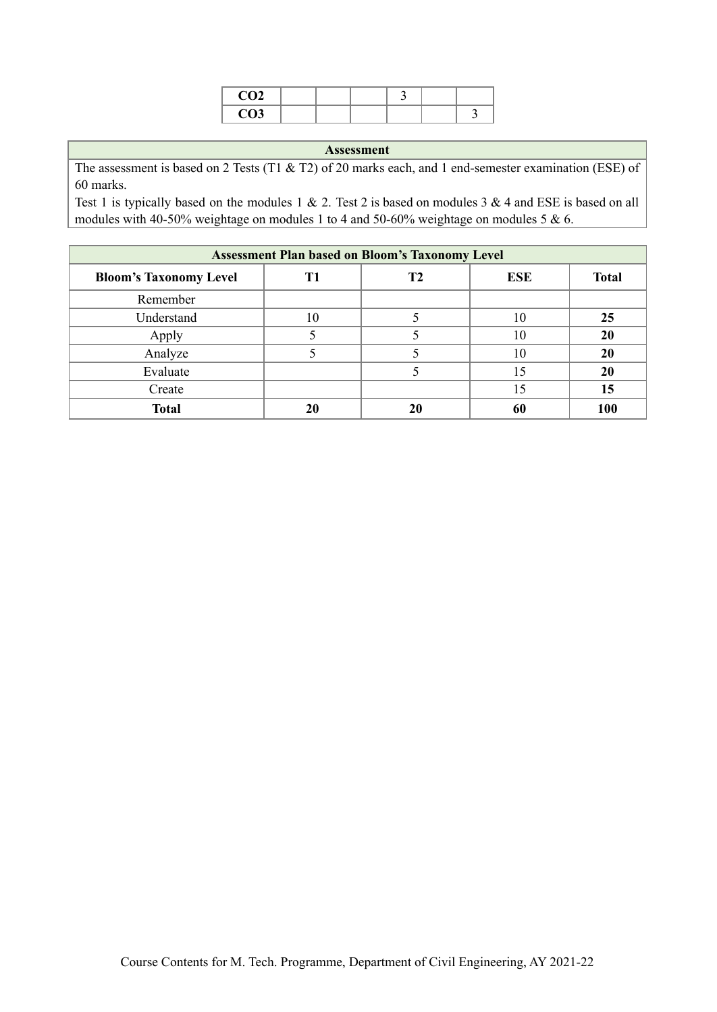| $\sim$<br>$\ddotsc$                   |  |  |  |
|---------------------------------------|--|--|--|
| $\sim$ $\sim$<br>$\sim$ $\sim$ $\sim$ |  |  |  |

The assessment is based on 2 Tests (T1 & T2) of 20 marks each, and 1 end-semester examination (ESE) of 60 marks.

| <b>Assessment Plan based on Bloom's Taxonomy Level</b> |    |                |            |              |  |  |  |  |
|--------------------------------------------------------|----|----------------|------------|--------------|--|--|--|--|
| <b>Bloom's Taxonomy Level</b>                          |    | T <sub>2</sub> | <b>ESE</b> | <b>Total</b> |  |  |  |  |
| Remember                                               |    |                |            |              |  |  |  |  |
| Understand                                             | 10 |                | 10         | 25           |  |  |  |  |
| Apply                                                  |    |                | 10         | 20           |  |  |  |  |
| Analyze                                                |    |                | 10         | 20           |  |  |  |  |
| Evaluate                                               |    |                | 15         | 20           |  |  |  |  |
| Create                                                 |    |                | 15         | 15           |  |  |  |  |
| <b>Total</b>                                           | 20 |                | 60         | 100          |  |  |  |  |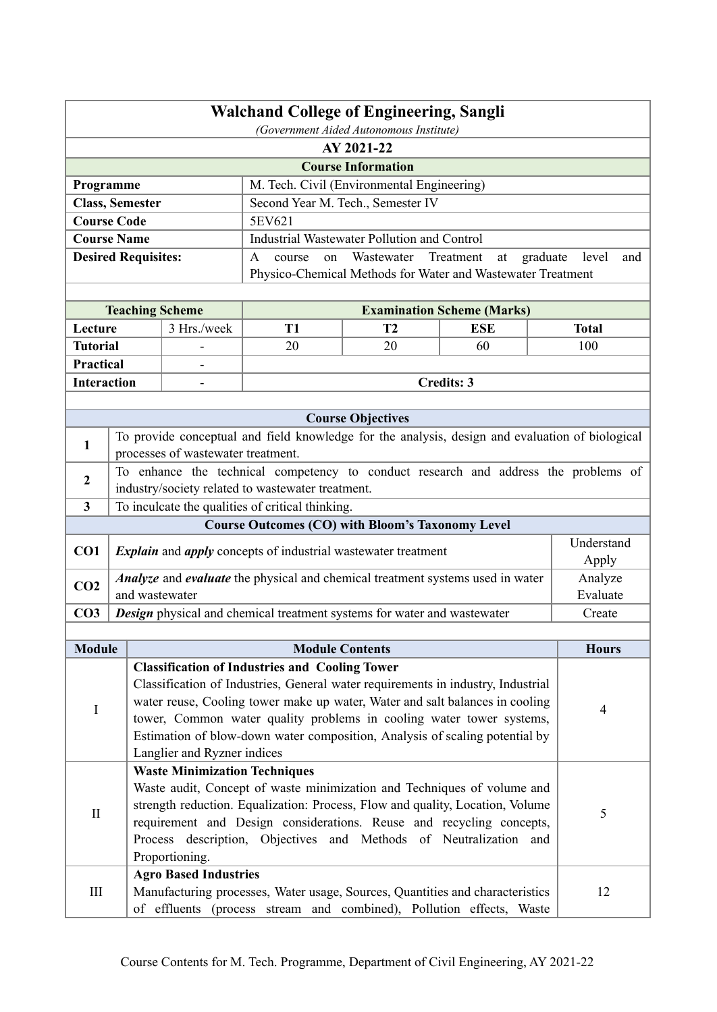| <b>Walchand College of Engineering, Sangli</b> |                                                       |                                                                                                                                                                                                                                          |                                                         |                                                             |                                   |                          |  |  |
|------------------------------------------------|-------------------------------------------------------|------------------------------------------------------------------------------------------------------------------------------------------------------------------------------------------------------------------------------------------|---------------------------------------------------------|-------------------------------------------------------------|-----------------------------------|--------------------------|--|--|
|                                                | (Government Aided Autonomous Institute)<br>AY 2021-22 |                                                                                                                                                                                                                                          |                                                         |                                                             |                                   |                          |  |  |
| <b>Course Information</b>                      |                                                       |                                                                                                                                                                                                                                          |                                                         |                                                             |                                   |                          |  |  |
| Programme                                      |                                                       |                                                                                                                                                                                                                                          |                                                         | M. Tech. Civil (Environmental Engineering)                  |                                   |                          |  |  |
| <b>Class, Semester</b>                         |                                                       |                                                                                                                                                                                                                                          |                                                         | Second Year M. Tech., Semester IV                           |                                   |                          |  |  |
| <b>Course Code</b>                             |                                                       |                                                                                                                                                                                                                                          | 5EV621                                                  |                                                             |                                   |                          |  |  |
| <b>Course Name</b>                             |                                                       |                                                                                                                                                                                                                                          |                                                         | <b>Industrial Wastewater Pollution and Control</b>          |                                   |                          |  |  |
|                                                |                                                       | <b>Desired Requisites:</b>                                                                                                                                                                                                               | A<br>course<br>on                                       | Wastewater Treatment                                        | at                                | graduate<br>level<br>and |  |  |
|                                                |                                                       |                                                                                                                                                                                                                                          |                                                         | Physico-Chemical Methods for Water and Wastewater Treatment |                                   |                          |  |  |
|                                                |                                                       |                                                                                                                                                                                                                                          |                                                         |                                                             |                                   |                          |  |  |
|                                                |                                                       | <b>Teaching Scheme</b>                                                                                                                                                                                                                   |                                                         |                                                             | <b>Examination Scheme (Marks)</b> |                          |  |  |
| Lecture                                        |                                                       | 3 Hrs./week                                                                                                                                                                                                                              | <b>T1</b>                                               | T <sub>2</sub>                                              | <b>ESE</b>                        | <b>Total</b>             |  |  |
| <b>Tutorial</b>                                |                                                       |                                                                                                                                                                                                                                          | 20                                                      | 20                                                          | 60                                | 100                      |  |  |
| Practical                                      |                                                       |                                                                                                                                                                                                                                          |                                                         |                                                             |                                   |                          |  |  |
| <b>Interaction</b>                             |                                                       |                                                                                                                                                                                                                                          |                                                         |                                                             | <b>Credits: 3</b>                 |                          |  |  |
|                                                |                                                       |                                                                                                                                                                                                                                          |                                                         |                                                             |                                   |                          |  |  |
|                                                |                                                       |                                                                                                                                                                                                                                          |                                                         | <b>Course Objectives</b>                                    |                                   |                          |  |  |
| 1                                              |                                                       | To provide conceptual and field knowledge for the analysis, design and evaluation of biological<br>processes of wastewater treatment.                                                                                                    |                                                         |                                                             |                                   |                          |  |  |
|                                                |                                                       | To enhance the technical competency to conduct research and address the problems of                                                                                                                                                      |                                                         |                                                             |                                   |                          |  |  |
| $\mathbf{2}$                                   |                                                       | industry/society related to wastewater treatment.                                                                                                                                                                                        |                                                         |                                                             |                                   |                          |  |  |
| 3 <sup>1</sup>                                 |                                                       | To inculcate the qualities of critical thinking.                                                                                                                                                                                         |                                                         |                                                             |                                   |                          |  |  |
|                                                |                                                       |                                                                                                                                                                                                                                          | <b>Course Outcomes (CO) with Bloom's Taxonomy Level</b> |                                                             |                                   |                          |  |  |
| CO <sub>1</sub>                                |                                                       | <i>Explain</i> and <i>apply</i> concepts of industrial wastewater treatment                                                                                                                                                              |                                                         |                                                             |                                   | Understand<br>Apply      |  |  |
| CO <sub>2</sub>                                |                                                       | Analyze and evaluate the physical and chemical treatment systems used in water<br>and wastewater                                                                                                                                         |                                                         |                                                             |                                   | Analyze<br>Evaluate      |  |  |
| CO <sub>3</sub>                                |                                                       | Design physical and chemical treatment systems for water and wastewater                                                                                                                                                                  |                                                         |                                                             |                                   | Create                   |  |  |
|                                                |                                                       |                                                                                                                                                                                                                                          |                                                         |                                                             |                                   |                          |  |  |
| <b>Module</b>                                  |                                                       |                                                                                                                                                                                                                                          | <b>Module Contents</b>                                  |                                                             |                                   | <b>Hours</b>             |  |  |
|                                                |                                                       | <b>Classification of Industries and Cooling Tower</b>                                                                                                                                                                                    |                                                         |                                                             |                                   |                          |  |  |
| I                                              |                                                       | Classification of Industries, General water requirements in industry, Industrial<br>water reuse, Cooling tower make up water, Water and salt balances in cooling<br>tower, Common water quality problems in cooling water tower systems, |                                                         |                                                             |                                   | 4                        |  |  |
|                                                |                                                       | Estimation of blow-down water composition, Analysis of scaling potential by<br>Langlier and Ryzner indices                                                                                                                               |                                                         |                                                             |                                   |                          |  |  |
|                                                |                                                       | <b>Waste Minimization Techniques</b>                                                                                                                                                                                                     |                                                         |                                                             |                                   |                          |  |  |
|                                                |                                                       | Waste audit, Concept of waste minimization and Techniques of volume and                                                                                                                                                                  |                                                         |                                                             |                                   |                          |  |  |
| $\mathbf{I}$                                   |                                                       | strength reduction. Equalization: Process, Flow and quality, Location, Volume                                                                                                                                                            | $\sqrt{5}$                                              |                                                             |                                   |                          |  |  |
|                                                |                                                       | requirement and Design considerations. Reuse and recycling concepts,                                                                                                                                                                     |                                                         |                                                             |                                   |                          |  |  |
|                                                |                                                       | Process description, Objectives and Methods of Neutralization and                                                                                                                                                                        |                                                         |                                                             |                                   |                          |  |  |
|                                                |                                                       | Proportioning.                                                                                                                                                                                                                           |                                                         |                                                             |                                   |                          |  |  |
|                                                |                                                       | <b>Agro Based Industries</b>                                                                                                                                                                                                             |                                                         |                                                             |                                   |                          |  |  |
| III                                            |                                                       | Manufacturing processes, Water usage, Sources, Quantities and characteristics<br>of effluents (process stream and combined), Pollution effects, Waste                                                                                    |                                                         |                                                             |                                   | 12                       |  |  |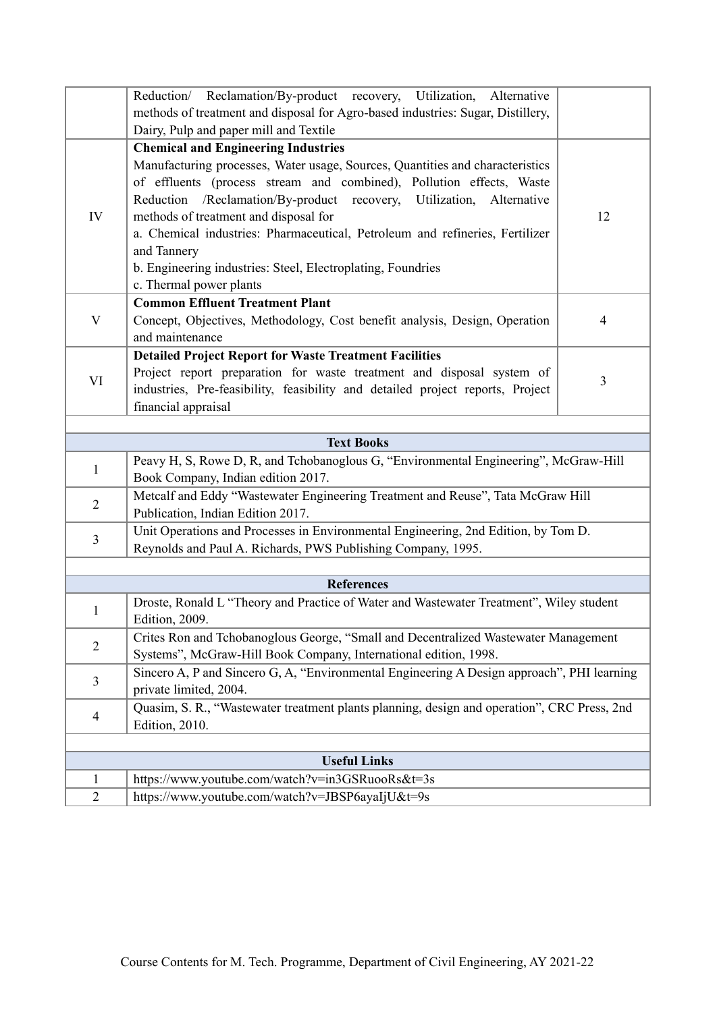|                     | Reduction/ Reclamation/By-product recovery, Utilization, Alternative                                                                                                                                                                                                                                                                                                  |                |  |  |  |  |  |  |
|---------------------|-----------------------------------------------------------------------------------------------------------------------------------------------------------------------------------------------------------------------------------------------------------------------------------------------------------------------------------------------------------------------|----------------|--|--|--|--|--|--|
|                     | methods of treatment and disposal for Agro-based industries: Sugar, Distillery,                                                                                                                                                                                                                                                                                       |                |  |  |  |  |  |  |
|                     | Dairy, Pulp and paper mill and Textile                                                                                                                                                                                                                                                                                                                                |                |  |  |  |  |  |  |
|                     | <b>Chemical and Engineering Industries</b>                                                                                                                                                                                                                                                                                                                            |                |  |  |  |  |  |  |
| IV                  | Manufacturing processes, Water usage, Sources, Quantities and characteristics<br>of effluents (process stream and combined), Pollution effects, Waste<br>Reduction /Reclamation/By-product recovery, Utilization, Alternative<br>methods of treatment and disposal for<br>a. Chemical industries: Pharmaceutical, Petroleum and refineries, Fertilizer<br>and Tannery | 12             |  |  |  |  |  |  |
|                     | b. Engineering industries: Steel, Electroplating, Foundries<br>c. Thermal power plants                                                                                                                                                                                                                                                                                |                |  |  |  |  |  |  |
|                     | <b>Common Effluent Treatment Plant</b>                                                                                                                                                                                                                                                                                                                                |                |  |  |  |  |  |  |
| V                   | Concept, Objectives, Methodology, Cost benefit analysis, Design, Operation<br>and maintenance                                                                                                                                                                                                                                                                         | $\overline{4}$ |  |  |  |  |  |  |
|                     | <b>Detailed Project Report for Waste Treatment Facilities</b>                                                                                                                                                                                                                                                                                                         |                |  |  |  |  |  |  |
| VI                  | Project report preparation for waste treatment and disposal system of<br>industries, Pre-feasibility, feasibility and detailed project reports, Project<br>financial appraisal                                                                                                                                                                                        | 3              |  |  |  |  |  |  |
|                     |                                                                                                                                                                                                                                                                                                                                                                       |                |  |  |  |  |  |  |
|                     | <b>Text Books</b>                                                                                                                                                                                                                                                                                                                                                     |                |  |  |  |  |  |  |
| 1                   | Peavy H, S, Rowe D, R, and Tchobanoglous G, "Environmental Engineering", McGraw-Hill<br>Book Company, Indian edition 2017.                                                                                                                                                                                                                                            |                |  |  |  |  |  |  |
| $\overline{2}$      | Metcalf and Eddy "Wastewater Engineering Treatment and Reuse", Tata McGraw Hill<br>Publication, Indian Edition 2017.                                                                                                                                                                                                                                                  |                |  |  |  |  |  |  |
| $\overline{3}$      | Unit Operations and Processes in Environmental Engineering, 2nd Edition, by Tom D.<br>Reynolds and Paul A. Richards, PWS Publishing Company, 1995.                                                                                                                                                                                                                    |                |  |  |  |  |  |  |
|                     |                                                                                                                                                                                                                                                                                                                                                                       |                |  |  |  |  |  |  |
|                     | <b>References</b>                                                                                                                                                                                                                                                                                                                                                     |                |  |  |  |  |  |  |
| $\mathbf{1}$        | Droste, Ronald L "Theory and Practice of Water and Wastewater Treatment", Wiley student<br>Edition, 2009.                                                                                                                                                                                                                                                             |                |  |  |  |  |  |  |
| $\overline{2}$      | Crites Ron and Tchobanoglous George, "Small and Decentralized Wastewater Management<br>Systems", McGraw-Hill Book Company, International edition, 1998.                                                                                                                                                                                                               |                |  |  |  |  |  |  |
| $\overline{3}$      | Sincero A, P and Sincero G, A, "Environmental Engineering A Design approach", PHI learning<br>private limited, 2004.                                                                                                                                                                                                                                                  |                |  |  |  |  |  |  |
| $\overline{4}$      | Quasim, S. R., "Wastewater treatment plants planning, design and operation", CRC Press, 2nd<br><b>Edition</b> , 2010.                                                                                                                                                                                                                                                 |                |  |  |  |  |  |  |
|                     |                                                                                                                                                                                                                                                                                                                                                                       |                |  |  |  |  |  |  |
| <b>Useful Links</b> |                                                                                                                                                                                                                                                                                                                                                                       |                |  |  |  |  |  |  |
| 1                   | https://www.youtube.com/watch?v=in3GSRuooRs&t=3s                                                                                                                                                                                                                                                                                                                      |                |  |  |  |  |  |  |
| $\overline{2}$      | https://www.youtube.com/watch?v=JBSP6ayaIjU&t=9s                                                                                                                                                                                                                                                                                                                      |                |  |  |  |  |  |  |